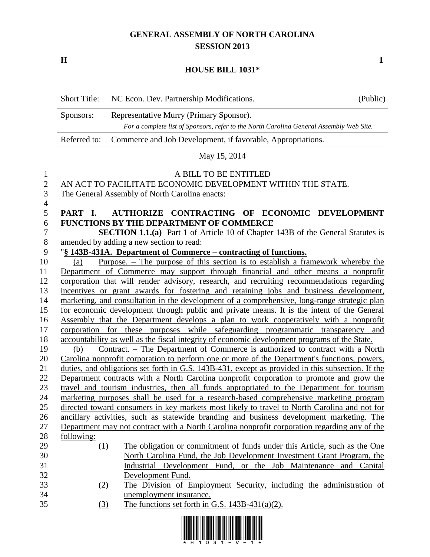# **GENERAL ASSEMBLY OF NORTH CAROLINA SESSION 2013**

**H 1**

#### **HOUSE BILL 1031\***

|              | <b>Short Title:</b>                                                                     | NC Econ. Dev. Partnership Modifications.                                               | (Public) |  |  |  |
|--------------|-----------------------------------------------------------------------------------------|----------------------------------------------------------------------------------------|----------|--|--|--|
|              | Representative Murry (Primary Sponsor).<br>Sponsors:                                    |                                                                                        |          |  |  |  |
|              | For a complete list of Sponsors, refer to the North Carolina General Assembly Web Site. |                                                                                        |          |  |  |  |
|              | Referred to:                                                                            | Commerce and Job Development, if favorable, Appropriations.                            |          |  |  |  |
|              |                                                                                         | May 15, 2014                                                                           |          |  |  |  |
| $\mathbf{1}$ |                                                                                         | A BILL TO BE ENTITLED                                                                  |          |  |  |  |
| 2            |                                                                                         | AN ACT TO FACILITATE ECONOMIC DEVELOPMENT WITHIN THE STATE.                            |          |  |  |  |
| 3            |                                                                                         | The General Assembly of North Carolina enacts:                                         |          |  |  |  |
| 4            |                                                                                         |                                                                                        |          |  |  |  |
| 5            | PART L                                                                                  | AUTHORIZE CONTRACTING OF ECONOMIC DEVELOPMENT                                          |          |  |  |  |
| 6            |                                                                                         | <b>FUNCTIONS BY THE DEPARTMENT OF COMMERCE</b>                                         |          |  |  |  |
| 7            |                                                                                         | <b>SECTION 1.1.(a)</b> Part 1 of Article 10 of Chapter 143B of the General Statutes is |          |  |  |  |

amended by adding a new section to read:

## "**§ 143B-431A. Department of Commerce – contracting of functions.**

 (a) Purpose. – The purpose of this section is to establish a framework whereby the Department of Commerce may support through financial and other means a nonprofit corporation that will render advisory, research, and recruiting recommendations regarding incentives or grant awards for fostering and retaining jobs and business development, marketing, and consultation in the development of a comprehensive, long-range strategic plan for economic development through public and private means. It is the intent of the General Assembly that the Department develops a plan to work cooperatively with a nonprofit corporation for these purposes while safeguarding programmatic transparency and accountability as well as the fiscal integrity of economic development programs of the State. (b) Contract. – The Department of Commerce is authorized to contract with a North Carolina nonprofit corporation to perform one or more of the Department's functions, powers, duties, and obligations set forth in G.S. 143B-431, except as provided in this subsection. If the

 Department contracts with a North Carolina nonprofit corporation to promote and grow the travel and tourism industries, then all funds appropriated to the Department for tourism marketing purposes shall be used for a research-based comprehensive marketing program directed toward consumers in key markets most likely to travel to North Carolina and not for

 ancillary activities, such as statewide branding and business development marketing. The Department may not contract with a North Carolina nonprofit corporation regarding any of the following:

- (1) The obligation or commitment of funds under this Article, such as the One North Carolina Fund, the Job Development Investment Grant Program, the Industrial Development Fund, or the Job Maintenance and Capital Development Fund.
- (2) The Division of Employment Security, including the administration of unemployment insurance.
- (3) The functions set forth in G.S. 143B-431(a)(2).

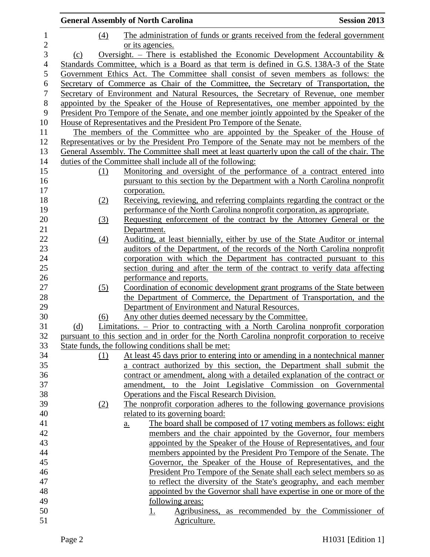|                |                            | <b>General Assembly of North Carolina</b>                                                                                              | <b>Session 2013</b>                                 |
|----------------|----------------------------|----------------------------------------------------------------------------------------------------------------------------------------|-----------------------------------------------------|
| $\mathbf{1}$   | (4)                        | The administration of funds or grants received from the federal government                                                             |                                                     |
| $\mathbf{2}$   |                            | or its agencies.                                                                                                                       |                                                     |
| 3              | (c)                        | Oversight. – There is established the Economic Development Accountability $\&$                                                         |                                                     |
| $\overline{4}$ |                            | Standards Committee, which is a Board as that term is defined in G.S. 138A-3 of the State                                              |                                                     |
| $\mathfrak s$  |                            | Government Ethics Act. The Committee shall consist of seven members as follows: the                                                    |                                                     |
| 6              |                            | Secretary of Commerce as Chair of the Committee, the Secretary of Transportation, the                                                  |                                                     |
| $\overline{7}$ |                            | Secretary of Environment and Natural Resources, the Secretary of Revenue, one member                                                   |                                                     |
| $8\,$          |                            | appointed by the Speaker of the House of Representatives, one member appointed by the                                                  |                                                     |
| 9              |                            | President Pro Tempore of the Senate, and one member jointly appointed by the Speaker of the                                            |                                                     |
| 10             |                            | House of Representatives and the President Pro Tempore of the Senate.                                                                  |                                                     |
| 11             |                            | The members of the Committee who are appointed by the Speaker of the House of                                                          |                                                     |
| 12             |                            | Representatives or by the President Pro Tempore of the Senate may not be members of the                                                |                                                     |
| 13             |                            | General Assembly. The Committee shall meet at least quarterly upon the call of the chair. The                                          |                                                     |
| 14             |                            | duties of the Committee shall include all of the following:                                                                            |                                                     |
| 15             | (1)                        | Monitoring and oversight of the performance of a contract entered into                                                                 |                                                     |
| 16             |                            | pursuant to this section by the Department with a North Carolina nonprofit                                                             |                                                     |
| 17             |                            | corporation.                                                                                                                           |                                                     |
| 18             | (2)                        | Receiving, reviewing, and referring complaints regarding the contract or the                                                           |                                                     |
| 19             |                            | performance of the North Carolina nonprofit corporation, as appropriate.                                                               |                                                     |
| 20             | $\underline{\textbf{(3)}}$ | Requesting enforcement of the contract by the Attorney General or the                                                                  |                                                     |
| 21             |                            | Department.                                                                                                                            |                                                     |
| 22             | (4)                        | Auditing, at least biennially, either by use of the State Auditor or internal                                                          |                                                     |
| 23             |                            | auditors of the Department, of the records of the North Carolina nonprofit                                                             |                                                     |
| 24             |                            | corporation with which the Department has contracted pursuant to this                                                                  |                                                     |
| 25             |                            | section during and after the term of the contract to verify data affecting                                                             |                                                     |
| 26             |                            | performance and reports.                                                                                                               |                                                     |
| 27             | (5)                        | Coordination of economic development grant programs of the State between                                                               |                                                     |
| 28             |                            | the Department of Commerce, the Department of Transportation, and the                                                                  |                                                     |
| 29<br>30       |                            | Department of Environment and Natural Resources.                                                                                       |                                                     |
| 31             | (6)<br>(d)                 | Any other duties deemed necessary by the Committee.<br>Limitations. – Prior to contracting with a North Carolina nonprofit corporation |                                                     |
| 32             |                            | pursuant to this section and in order for the North Carolina nonprofit corporation to receive                                          |                                                     |
| 33             |                            | State funds, the following conditions shall be met:                                                                                    |                                                     |
| 34             | (1)                        | At least 45 days prior to entering into or amending in a nontechnical manner                                                           |                                                     |
| 35             |                            | a contract authorized by this section, the Department shall submit the                                                                 |                                                     |
| 36             |                            | contract or amendment, along with a detailed explanation of the contract or                                                            |                                                     |
| 37             |                            | amendment,                                                                                                                             | to the Joint Legislative Commission on Governmental |
| 38             |                            | Operations and the Fiscal Research Division.                                                                                           |                                                     |
| 39             | (2)                        | The nonprofit corporation adheres to the following governance provisions                                                               |                                                     |
| 40             |                            | related to its governing board:                                                                                                        |                                                     |
| 41             |                            | The board shall be composed of 17 voting members as follows: eight<br>$\underline{a}$ .                                                |                                                     |
| 42             |                            | members and the chair appointed by the Governor, four members                                                                          |                                                     |
| 43             |                            | appointed by the Speaker of the House of Representatives, and four                                                                     |                                                     |
| 44             |                            | members appointed by the President Pro Tempore of the Senate. The                                                                      |                                                     |
| 45             |                            | Governor, the Speaker of the House of Representatives, and the                                                                         |                                                     |
| 46             |                            | President Pro Tempore of the Senate shall each select members so as                                                                    |                                                     |
| 47             |                            | to reflect the diversity of the State's geography, and each member                                                                     |                                                     |
| 48             |                            | appointed by the Governor shall have expertise in one or more of the                                                                   |                                                     |
| 49             |                            | following areas:                                                                                                                       |                                                     |
| 50             |                            | <u>1.</u>                                                                                                                              | Agribusiness, as recommended by the Commissioner of |
| 51             |                            | Agriculture.                                                                                                                           |                                                     |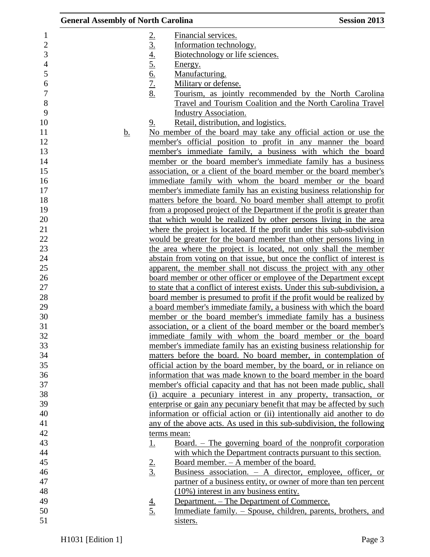| <b>General Assembly of North Carolina</b> |                                                                               | <b>Session 2013</b> |
|-------------------------------------------|-------------------------------------------------------------------------------|---------------------|
|                                           | Financial services.                                                           |                     |
|                                           | 2.4.4.5.6.7.8.<br>Information technology.                                     |                     |
|                                           | Biotechnology or life sciences.                                               |                     |
|                                           | Energy.                                                                       |                     |
|                                           | Manufacturing.                                                                |                     |
|                                           | Military or defense.                                                          |                     |
|                                           | Tourism, as jointly recommended by the North Carolina                         |                     |
|                                           | Travel and Tourism Coalition and the North Carolina Travel                    |                     |
|                                           | <b>Industry Association.</b>                                                  |                     |
|                                           | Retail, distribution, and logistics.<br>9.                                    |                     |
| <u>b.</u>                                 | No member of the board may take any official action or use the                |                     |
|                                           | member's official position to profit in any manner the board                  |                     |
|                                           | member's immediate family, a business with which the board                    |                     |
|                                           | member or the board member's immediate family has a business                  |                     |
|                                           | association, or a client of the board member or the board member's            |                     |
|                                           | immediate family with whom the board member or the board                      |                     |
|                                           | member's immediate family has an existing business relationship for           |                     |
|                                           | matters before the board. No board member shall attempt to profit             |                     |
|                                           | from a proposed project of the Department if the profit is greater than       |                     |
|                                           | that which would be realized by other persons living in the area              |                     |
|                                           | where the project is located. If the profit under this sub-subdivision        |                     |
|                                           | would be greater for the board member than other persons living in            |                     |
|                                           | the area where the project is located, not only shall the member              |                     |
|                                           | abstain from voting on that issue, but once the conflict of interest is       |                     |
|                                           | apparent, the member shall not discuss the project with any other             |                     |
|                                           | board member or other officer or employee of the Department except            |                     |
|                                           | to state that a conflict of interest exists. Under this sub-subdivision, a    |                     |
|                                           | board member is presumed to profit if the profit would be realized by         |                     |
|                                           | a board member's immediate family, a business with which the board            |                     |
|                                           | member or the board member's immediate family has a business                  |                     |
|                                           | association, or a client of the board member or the board member's            |                     |
|                                           | immediate family with whom the board member or the board                      |                     |
|                                           | member's immediate family has an existing business relationship for           |                     |
|                                           | matters before the board. No board member, in contemplation of                |                     |
|                                           | official action by the board member, by the board, or in reliance on          |                     |
|                                           | information that was made known to the board member in the board              |                     |
|                                           | member's official capacity and that has not been made public, shall           |                     |
|                                           | (i) acquire a pecuniary interest in any property, transaction, or             |                     |
|                                           | enterprise or gain any pecuniary benefit that may be affected by such         |                     |
|                                           | information or official action or (ii) intentionally aid another to do        |                     |
|                                           | any of the above acts. As used in this sub-subdivision, the following         |                     |
|                                           | terms mean:                                                                   |                     |
|                                           | <u>Board. – The governing board of the nonprofit corporation</u><br><u>1.</u> |                     |
|                                           | with which the Department contracts pursuant to this section.                 |                     |
|                                           | Board member. - A member of the board.                                        |                     |
|                                           | $\frac{2}{3}$<br>Business association. - A director, employee, officer, or    |                     |
|                                           | partner of a business entity, or owner of more than ten percent               |                     |
|                                           | (10%) interest in any business entity.                                        |                     |
|                                           | Department. – The Department of Commerce.                                     |                     |
|                                           | $\frac{4}{5}$<br>Immediate family. – Spouse, children, parents, brothers, and |                     |
|                                           | sisters.                                                                      |                     |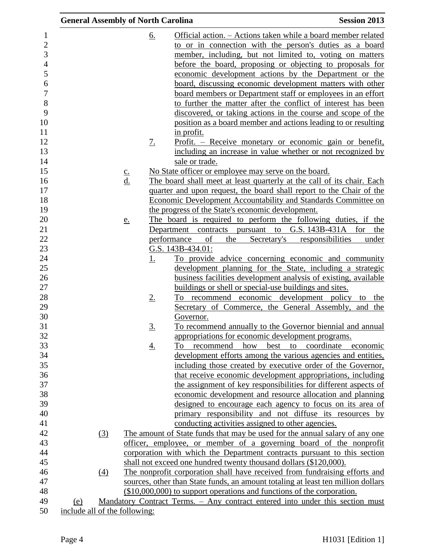| <b>General Assembly of North Carolina</b> |               |           | <b>Session 2013</b>                                                              |
|-------------------------------------------|---------------|-----------|----------------------------------------------------------------------------------|
|                                           |               | <u>6.</u> | Official action. – Actions taken while a board member related                    |
|                                           |               |           | to or in connection with the person's duties as a board                          |
|                                           |               |           | member, including, but not limited to, voting on matters                         |
|                                           |               |           | before the board, proposing or objecting to proposals for                        |
|                                           |               |           | economic development actions by the Department or the                            |
|                                           |               |           | <u>board, discussing economic development matters with other</u>                 |
|                                           |               |           | board members or Department staff or employees in an effort                      |
|                                           |               |           | to further the matter after the conflict of interest has been                    |
|                                           |               |           | discovered, or taking actions in the course and scope of the                     |
|                                           |               |           | position as a board member and actions leading to or resulting                   |
|                                           |               |           | <u>in profit.</u>                                                                |
|                                           |               | <u>7.</u> | <u>Profit. – Receive monetary or economic gain or benefit,</u>                   |
|                                           |               |           |                                                                                  |
|                                           |               |           | including an increase in value whether or not recognized by                      |
|                                           |               |           | sale or trade.                                                                   |
|                                           | $\frac{c}{d}$ |           | No State officer or employee may serve on the board.                             |
|                                           |               |           | The board shall meet at least quarterly at the call of its chair. Each           |
|                                           |               |           | quarter and upon request, the board shall report to the Chair of the             |
|                                           |               |           | <b>Economic Development Accountability and Standards Committee on</b>            |
|                                           |               |           | the progress of the State's economic development.                                |
|                                           | <u>e.</u>     |           | The board is required to perform the following duties, if the                    |
|                                           |               |           | Department contracts pursuant to G.S. 143B-431A for<br>the                       |
|                                           |               |           | performance<br>of<br>the<br>Secretary's responsibilities<br>under                |
|                                           |               |           | G.S. 143B-434.01:                                                                |
|                                           |               | <u>1.</u> | To provide advice concerning economic and community                              |
|                                           |               |           | development planning for the State, including a strategic                        |
|                                           |               |           | business facilities development analysis of existing, available                  |
|                                           |               |           | buildings or shell or special-use buildings and sites.                           |
|                                           |               | <u>2.</u> | To recommend economic development policy to the                                  |
|                                           |               |           | Secretary of Commerce, the General Assembly, and the                             |
|                                           |               |           | Governor.                                                                        |
|                                           |               | 3.        | To recommend annually to the Governor biennial and annual                        |
|                                           |               |           | appropriations for economic development programs.                                |
|                                           |               | <u>4.</u> | how<br>best to coordinate economic<br>recommend<br>To                            |
|                                           |               |           | development efforts among the various agencies and entities,                     |
|                                           |               |           | including those created by executive order of the Governor,                      |
|                                           |               |           | that receive economic development appropriations, including                      |
|                                           |               |           | the assignment of key responsibilities for different aspects of                  |
|                                           |               |           | economic development and resource allocation and planning                        |
|                                           |               |           | designed to encourage each agency to focus on its area of                        |
|                                           |               |           | primary responsibility and not diffuse its resources by                          |
|                                           |               |           | conducting activities assigned to other agencies.                                |
| (3)                                       |               |           | The amount of State funds that may be used for the annual salary of any one      |
|                                           |               |           | officer, employee, or member of a governing board of the nonprofit               |
|                                           |               |           | corporation with which the Department contracts pursuant to this section         |
|                                           |               |           | shall not exceed one hundred twenty thousand dollars (\$120,000).                |
| (4)                                       |               |           | The nonprofit corporation shall have received from fundraising efforts and       |
|                                           |               |           | sources, other than State funds, an amount totaling at least ten million dollars |
|                                           |               |           | (\$10,000,000) to support operations and functions of the corporation.           |
| (e)                                       |               |           | Mandatory Contract Terms. - Any contract entered into under this section must    |
| include all of the following:             |               |           |                                                                                  |

50 <u>include all of the following:</u>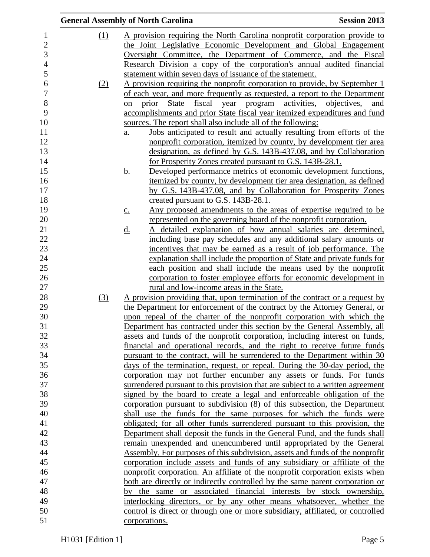|                  |            | <b>General Assembly of North Carolina</b><br><b>Session 2013</b>                            |  |
|------------------|------------|---------------------------------------------------------------------------------------------|--|
| 1                | (1)        | A provision requiring the North Carolina nonprofit corporation provide to                   |  |
| $\overline{c}$   |            | the Joint Legislative Economic Development and Global Engagement                            |  |
| 3                |            | Oversight Committee, the Department of Commerce, and the Fiscal                             |  |
| $\overline{4}$   |            | Research Division a copy of the corporation's annual audited financial                      |  |
| 5                |            | statement within seven days of issuance of the statement.                                   |  |
| 6                | <u>(2)</u> | A provision requiring the nonprofit corporation to provide, by September 1                  |  |
| $\boldsymbol{7}$ |            | of each year, and more frequently as requested, a report to the Department                  |  |
| $8\,$            |            | prior State fiscal year program activities, objectives, and<br>on                           |  |
| 9                |            | accomplishments and prior State fiscal year itemized expenditures and fund                  |  |
| 10               |            | sources. The report shall also include all of the following:                                |  |
| 11               |            | Jobs anticipated to result and actually resulting from efforts of the<br>$\underline{a}$ .  |  |
| 12               |            | nonprofit corporation, itemized by county, by development tier area                         |  |
| 13               |            | designation, as defined by G.S. 143B-437.08, and by Collaboration                           |  |
| 14               |            | for Prosperity Zones created pursuant to G.S. 143B-28.1.                                    |  |
| 15               |            | Developed performance metrics of economic development functions,<br><u>b.</u>               |  |
| 16               |            | itemized by county, by development tier area designation, as defined                        |  |
| 17               |            | by G.S. 143B-437.08, and by Collaboration for Prosperity Zones                              |  |
| 18               |            | created pursuant to G.S. 143B-28.1.                                                         |  |
| 19               |            | Any proposed amendments to the areas of expertise required to be<br>$\underline{c}$ .       |  |
| 20               |            | represented on the governing board of the nonprofit corporation.                            |  |
| 21               |            | A detailed explanation of how annual salaries are determined,<br>$\underline{\mathrm{d}}$ . |  |
| 22               |            | including base pay schedules and any additional salary amounts or                           |  |
| 23               |            | incentives that may be earned as a result of job performance. The                           |  |
| 24               |            | explanation shall include the proportion of State and private funds for                     |  |
| 25               |            | each position and shall include the means used by the nonprofit                             |  |
| 26               |            | corporation to foster employee efforts for economic development in                          |  |
| 27               |            | rural and low-income areas in the State.                                                    |  |
| 28               | (3)        | <u>A provision providing that, upon termination of the contract or a request by</u>         |  |
| 29               |            | the Department for enforcement of the contract by the Attorney General, or                  |  |
| 30               |            | upon repeal of the charter of the nonprofit corporation with which the                      |  |
| 31               |            | Department has contracted under this section by the General Assembly, all                   |  |
| 32               |            | assets and funds of the nonprofit corporation, including interest on funds,                 |  |
| 33               |            | financial and operational records, and the right to receive future funds                    |  |
| 34               |            | pursuant to the contract, will be surrendered to the Department within 30                   |  |
| 35               |            | days of the termination, request, or repeal. During the 30-day period, the                  |  |
| 36               |            | corporation may not further encumber any assets or funds. For funds                         |  |
| 37               |            | surrendered pursuant to this provision that are subject to a written agreement              |  |
| 38               |            | signed by the board to create a legal and enforceable obligation of the                     |  |
| 39               |            | corporation pursuant to subdivision (8) of this subsection, the Department                  |  |
| 40               |            | shall use the funds for the same purposes for which the funds were                          |  |
| 41               |            | obligated; for all other funds surrendered pursuant to this provision, the                  |  |
| 42               |            | Department shall deposit the funds in the General Fund, and the funds shall                 |  |
| 43               |            | remain unexpended and unencumbered until appropriated by the General                        |  |
| 44               |            | Assembly. For purposes of this subdivision, assets and funds of the nonprofit               |  |
| 45               |            | corporation include assets and funds of any subsidiary or affiliate of the                  |  |
| 46               |            | nonprofit corporation. An affiliate of the nonprofit corporation exists when                |  |
| 47               |            | both are directly or indirectly controlled by the same parent corporation or                |  |
| 48               |            | the same or associated financial interests by stock ownership,<br>bv                        |  |
| 49               |            | interlocking directors, or by any other means whatsoever, whether the                       |  |
| 50               |            | control is direct or through one or more subsidiary, affiliated, or controlled              |  |
| 51               |            | corporations.                                                                               |  |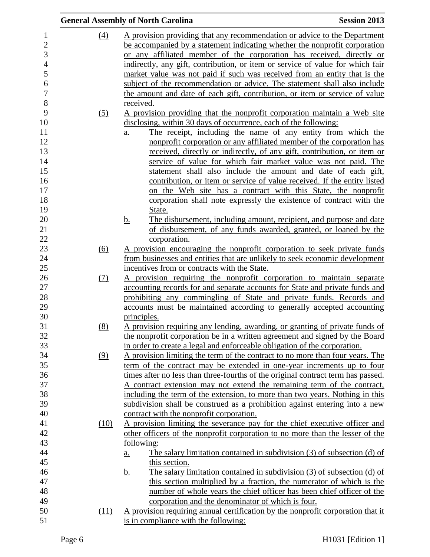|                |                  | <b>General Assembly of North Carolina</b>                                                | <b>Session 2013</b> |
|----------------|------------------|------------------------------------------------------------------------------------------|---------------------|
|                | (4)              | A provision providing that any recommendation or advice to the Department                |                     |
|                |                  | be accompanied by a statement indicating whether the nonprofit corporation               |                     |
| 3              |                  | or any affiliated member of the corporation has received, directly or                    |                     |
| $\overline{4}$ |                  | indirectly, any gift, contribution, or item or service of value for which fair           |                     |
|                |                  | market value was not paid if such was received from an entity that is the                |                     |
|                |                  | subject of the recommendation or advice. The statement shall also include                |                     |
|                |                  | the amount and date of each gift, contribution, or item or service of value              |                     |
|                |                  | received.                                                                                |                     |
|                |                  | A provision providing that the nonprofit corporation maintain a Web site                 |                     |
|                | (5)              | disclosing, within 30 days of occurrence, each of the following:                         |                     |
|                |                  | The receipt, including the name of any entity from which the                             |                     |
|                |                  | a.                                                                                       |                     |
|                |                  | nonprofit corporation or any affiliated member of the corporation has                    |                     |
|                |                  | received, directly or indirectly, of any gift, contribution, or item or                  |                     |
|                |                  | service of value for which fair market value was not paid. The                           |                     |
|                |                  | statement shall also include the amount and date of each gift,                           |                     |
|                |                  | contribution, or item or service of value received. If the entity listed                 |                     |
|                |                  | on the Web site has a contract with this State, the nonprofit                            |                     |
|                |                  | corporation shall note expressly the existence of contract with the                      |                     |
|                |                  | State.                                                                                   |                     |
|                |                  | The disbursement, including amount, recipient, and purpose and date<br><u>b.</u>         |                     |
|                |                  | of disbursement, of any funds awarded, granted, or loaned by the                         |                     |
|                |                  | corporation.                                                                             |                     |
|                | $\overline{(6)}$ | A provision encouraging the nonprofit corporation to seek private funds                  |                     |
|                |                  | from businesses and entities that are unlikely to seek economic development              |                     |
|                |                  | incentives from or contracts with the State.                                             |                     |
|                | (7)              | A provision requiring the nonprofit corporation to maintain separate                     |                     |
|                |                  | accounting records for and separate accounts for State and private funds and             |                     |
|                |                  | prohibiting any commingling of State and private funds. Records and                      |                     |
|                |                  | accounts must be maintained according to generally accepted accounting                   |                     |
|                |                  | principles.                                                                              |                     |
|                | (8)              | A provision requiring any lending, awarding, or granting of private funds of             |                     |
|                |                  | the nonprofit corporation be in a written agreement and signed by the Board              |                     |
|                |                  | in order to create a legal and enforceable obligation of the corporation.                |                     |
|                | (9)              | A provision limiting the term of the contract to no more than four years. The            |                     |
|                |                  | term of the contract may be extended in one-year increments up to four                   |                     |
|                |                  | times after no less than three-fourths of the original contract term has passed.         |                     |
|                |                  | A contract extension may not extend the remaining term of the contract,                  |                     |
|                |                  | including the term of the extension, to more than two years. Nothing in this             |                     |
|                |                  | subdivision shall be construed as a prohibition against entering into a new              |                     |
|                |                  | contract with the nonprofit corporation.                                                 |                     |
|                | (10)             | A provision limiting the severance pay for the chief executive officer and               |                     |
|                |                  | other officers of the nonprofit corporation to no more than the lesser of the            |                     |
|                |                  | following:                                                                               |                     |
|                |                  | The salary limitation contained in subdivision (3) of subsection (d) of<br><u>a.</u>     |                     |
|                |                  | this section.                                                                            |                     |
|                |                  | The salary limitation contained in subdivision $(3)$ of subsection $(d)$ of<br><u>b.</u> |                     |
|                |                  | this section multiplied by a fraction, the numerator of which is the                     |                     |
|                |                  | number of whole years the chief officer has been chief officer of the                    |                     |
|                |                  | corporation and the denominator of which is four.                                        |                     |
|                | (11)             | A provision requiring annual certification by the nonprofit corporation that it          |                     |
|                |                  | is in compliance with the following:                                                     |                     |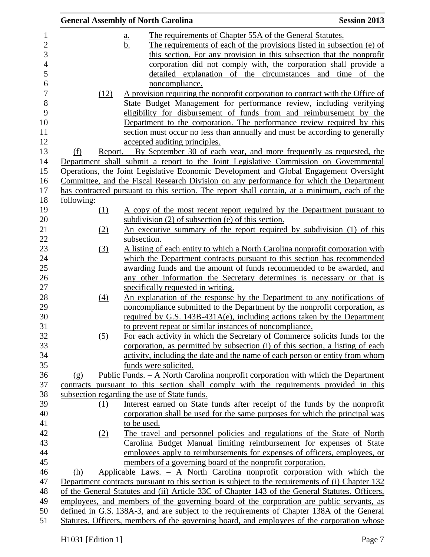|            |                   | <b>General Assembly of North Carolina</b>                                                       | <b>Session 2013</b> |
|------------|-------------------|-------------------------------------------------------------------------------------------------|---------------------|
|            |                   | The requirements of Chapter 55A of the General Statutes.<br><u>a.</u>                           |                     |
|            |                   | The requirements of each of the provisions listed in subsection (e) of<br><u>b.</u>             |                     |
|            |                   | this section. For any provision in this subsection that the nonprofit                           |                     |
|            |                   | corporation did not comply with, the corporation shall provide a                                |                     |
|            |                   | detailed explanation of the circumstances and time                                              | of the              |
|            |                   | noncompliance.                                                                                  |                     |
|            | (12)              | A provision requiring the nonprofit corporation to contract with the Office of                  |                     |
|            |                   | State Budget Management for performance review, including verifying                             |                     |
|            |                   | eligibility for disbursement of funds from and reimbursement by the                             |                     |
|            |                   | Department to the corporation. The performance review required by this                          |                     |
|            |                   | section must occur no less than annually and must be according to generally                     |                     |
|            |                   | accepted auditing principles.                                                                   |                     |
| (f)        |                   | <u>Report. – By September 30 of each year, and more frequently as requested, the</u>            |                     |
|            |                   | Department shall submit a report to the Joint Legislative Commission on Governmental            |                     |
|            |                   | Operations, the Joint Legislative Economic Development and Global Engagement Oversight          |                     |
|            |                   | Committee, and the Fiscal Research Division on any performance for which the Department         |                     |
|            |                   | has contracted pursuant to this section. The report shall contain, at a minimum, each of the    |                     |
| following: |                   |                                                                                                 |                     |
|            | (1)               | A copy of the most recent report required by the Department pursuant to                         |                     |
|            |                   | subdivision $(2)$ of subsection $(e)$ of this section.                                          |                     |
|            | (2)               | An executive summary of the report required by subdivision (1) of this                          |                     |
|            |                   | subsection.                                                                                     |                     |
|            | (3)               | A listing of each entity to which a North Carolina nonprofit corporation with                   |                     |
|            |                   | which the Department contracts pursuant to this section has recommended                         |                     |
|            |                   | awarding funds and the amount of funds recommended to be awarded, and                           |                     |
|            |                   | any other information the Secretary determines is necessary or that is                          |                     |
|            |                   | specifically requested in writing.                                                              |                     |
|            | $\underline{(4)}$ | An explanation of the response by the Department to any notifications of                        |                     |
|            |                   | noncompliance submitted to the Department by the nonprofit corporation, as                      |                     |
|            |                   | required by G.S. $143B-431A(e)$ , including actions taken by the Department                     |                     |
|            |                   | to prevent repeat or similar instances of noncompliance.                                        |                     |
|            | (5)               | For each activity in which the Secretary of Commerce solicits funds for the                     |                     |
|            |                   | corporation, as permitted by subsection (i) of this section, a listing of each                  |                     |
|            |                   | activity, including the date and the name of each person or entity from whom                    |                     |
|            |                   | funds were solicited.                                                                           |                     |
| (g)        |                   | Public Funds. - A North Carolina nonprofit corporation with which the Department                |                     |
|            |                   | contracts pursuant to this section shall comply with the requirements provided in this          |                     |
|            |                   | subsection regarding the use of State funds.                                                    |                     |
|            | (1)               | Interest earned on State funds after receipt of the funds by the nonprofit                      |                     |
|            |                   | corporation shall be used for the same purposes for which the principal was                     |                     |
|            |                   | to be used.                                                                                     |                     |
|            | (2)               | The travel and personnel policies and regulations of the State of North                         |                     |
|            |                   | Carolina Budget Manual limiting reimbursement for expenses of State                             |                     |
|            |                   | employees apply to reimbursements for expenses of officers, employees, or                       |                     |
|            |                   | members of a governing board of the nonprofit corporation.                                      |                     |
| (h)        |                   | Applicable Laws. - A North Carolina nonprofit corporation with which the                        |                     |
|            |                   | Department contracts pursuant to this section is subject to the requirements of (i) Chapter 132 |                     |
|            |                   | of the General Statutes and (ii) Article 33C of Chapter 143 of the General Statutes. Officers,  |                     |
|            |                   | employees, and members of the governing board of the corporation are public servants, as        |                     |
|            |                   | defined in G.S. 138A-3, and are subject to the requirements of Chapter 138A of the General      |                     |
|            |                   | Statutes. Officers, members of the governing board, and employees of the corporation whose      |                     |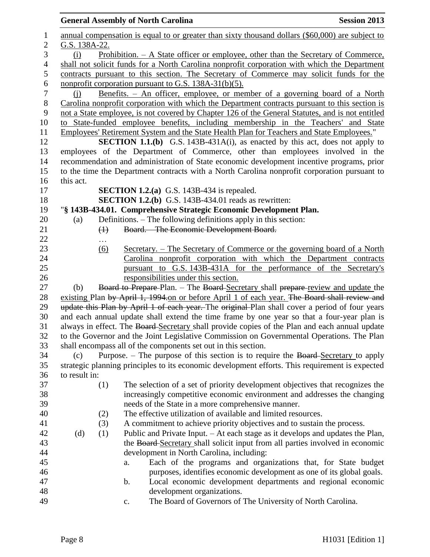|                  |                   | <b>General Assembly of North Carolina</b>                                                                                                           | <b>Session 2013</b> |
|------------------|-------------------|-----------------------------------------------------------------------------------------------------------------------------------------------------|---------------------|
| $\mathbf 1$      |                   | annual compensation is equal to or greater than sixty thousand dollars (\$60,000) are subject to                                                    |                     |
| $\overline{c}$   | G.S. 138A-22.     |                                                                                                                                                     |                     |
| 3                | (i)               | <u>Prohibition. – A State officer or employee, other than the Secretary of Commerce,</u>                                                            |                     |
| $\overline{4}$   |                   | shall not solicit funds for a North Carolina nonprofit corporation with which the Department                                                        |                     |
| 5                |                   | contracts pursuant to this section. The Secretary of Commerce may solicit funds for the                                                             |                     |
| $\epsilon$       |                   | nonprofit corporation pursuant to G.S. 138A-31(b)(5).                                                                                               |                     |
| $\boldsymbol{7}$ | (i)               | <u>Benefits. – An officer, employee, or member of a governing board of a North</u>                                                                  |                     |
| 8                |                   | Carolina nonprofit corporation with which the Department contracts pursuant to this section is                                                      |                     |
| 9                |                   | not a State employee, is not covered by Chapter 126 of the General Statutes, and is not entitled                                                    |                     |
| 10               |                   | to State-funded employee benefits, including membership in the Teachers' and State                                                                  |                     |
| 11               |                   | Employees' Retirement System and the State Health Plan for Teachers and State Employees."                                                           |                     |
| 12               |                   | <b>SECTION 1.1.(b)</b> G.S. 143B-431A(i), as enacted by this act, does not apply to                                                                 |                     |
| 13               |                   | employees of the Department of Commerce, other than employees involved in the                                                                       |                     |
| 14               |                   | recommendation and administration of State economic development incentive programs, prior                                                           |                     |
| 15               |                   | to the time the Department contracts with a North Carolina nonprofit corporation pursuant to                                                        |                     |
| 16               | this act.         |                                                                                                                                                     |                     |
| 17               |                   | <b>SECTION 1.2.(a)</b> G.S. 143B-434 is repealed.                                                                                                   |                     |
| 18               |                   | <b>SECTION 1.2.(b)</b> G.S. 143B-434.01 reads as rewritten:                                                                                         |                     |
| 19               |                   | "§ 143B-434.01. Comprehensive Strategic Economic Development Plan.                                                                                  |                     |
| 20               | (a)               | Definitions. - The following definitions apply in this section:                                                                                     |                     |
| 21               | $\leftrightarrow$ | Board. - The Economic Development Board.                                                                                                            |                     |
| 22               |                   |                                                                                                                                                     |                     |
| 23               | <u>(6)</u>        | Secretary. – The Secretary of Commerce or the governing board of a North                                                                            |                     |
| 24               |                   | Carolina nonprofit corporation with which the Department contracts                                                                                  |                     |
| 25               |                   | pursuant to G.S. 143B-431A for the performance of the Secretary's                                                                                   |                     |
| 26               |                   | responsibilities under this section.                                                                                                                |                     |
| 27               | (b)               | Board to Prepare-Plan. - The Board-Secretary shall prepare-review and update the                                                                    |                     |
| 28               |                   | existing Plan by April 1, 1994 on or before April 1 of each year. The Board shall review and                                                        |                     |
| 29               |                   | update this Plan by April 1 of each year. The original Plan shall cover a period of four years                                                      |                     |
| 30               |                   | and each annual update shall extend the time frame by one year so that a four-year plan is                                                          |                     |
| 31               |                   | always in effect. The Board Secretary shall provide copies of the Plan and each annual update                                                       |                     |
| 32<br>33         |                   | to the Governor and the Joint Legislative Commission on Governmental Operations. The Plan                                                           |                     |
| 34               |                   | shall encompass all of the components set out in this section.<br>Purpose. – The purpose of this section is to require the Board-Secretary to apply |                     |
| 35               | (c)               | strategic planning principles to its economic development efforts. This requirement is expected                                                     |                     |
| 36               | to result in:     |                                                                                                                                                     |                     |
| 37               | (1)               | The selection of a set of priority development objectives that recognizes the                                                                       |                     |
| 38               |                   | increasingly competitive economic environment and addresses the changing                                                                            |                     |
| 39               |                   | needs of the State in a more comprehensive manner.                                                                                                  |                     |
| 40               | (2)               | The effective utilization of available and limited resources.                                                                                       |                     |
| 41               | (3)               | A commitment to achieve priority objectives and to sustain the process.                                                                             |                     |
| 42               | (d)<br>(1)        | Public and Private Input. – At each stage as it develops and updates the Plan,                                                                      |                     |
| 43               |                   | the Board-Secretary shall solicit input from all parties involved in economic                                                                       |                     |
| 44               |                   | development in North Carolina, including:                                                                                                           |                     |
| 45               |                   | Each of the programs and organizations that, for State budget<br>a.                                                                                 |                     |
| 46               |                   | purposes, identifies economic development as one of its global goals.                                                                               |                     |
| 47               |                   | Local economic development departments and regional economic<br>b.                                                                                  |                     |
| 48               |                   | development organizations.                                                                                                                          |                     |
| 49               |                   | The Board of Governors of The University of North Carolina.<br>c.                                                                                   |                     |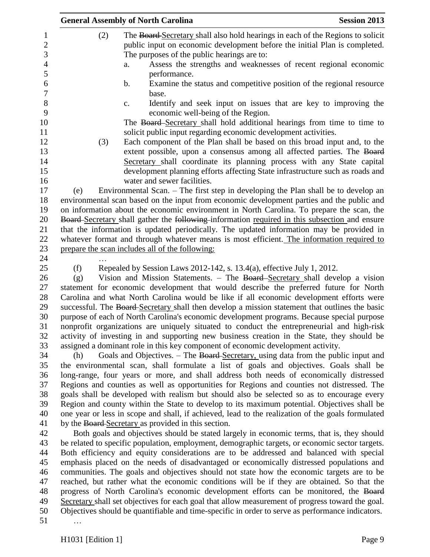|                  |     | <b>General Assembly of North Carolina</b>           | <b>Session 2013</b>                                                                               |
|------------------|-----|-----------------------------------------------------|---------------------------------------------------------------------------------------------------|
| 1                | (2) |                                                     | The Board Secretary shall also hold hearings in each of the Regions to solicit                    |
| $\overline{c}$   |     |                                                     | public input on economic development before the initial Plan is completed.                        |
| 3                |     | The purposes of the public hearings are to:         |                                                                                                   |
| $\overline{4}$   |     | a.                                                  | Assess the strengths and weaknesses of recent regional economic                                   |
| $\mathfrak s$    |     | performance.                                        |                                                                                                   |
| 6                |     | b.                                                  | Examine the status and competitive position of the regional resource                              |
| $\boldsymbol{7}$ |     | base.                                               |                                                                                                   |
| $8\,$            |     | c.                                                  | Identify and seek input on issues that are key to improving the                                   |
| 9                |     | economic well-being of the Region.                  |                                                                                                   |
| 10               |     |                                                     | The Board-Secretary shall hold additional hearings from time to time to                           |
| 11               |     |                                                     | solicit public input regarding economic development activities.                                   |
| 12               | (3) |                                                     | Each component of the Plan shall be based on this broad input and, to the                         |
| 13               |     |                                                     | extent possible, upon a consensus among all affected parties. The Board                           |
| 14               |     |                                                     | Secretary shall coordinate its planning process with any State capital                            |
| 15               |     |                                                     | development planning efforts affecting State infrastructure such as roads and                     |
| 16               |     | water and sewer facilities.                         |                                                                                                   |
| 17               | (e) |                                                     | Environmental Scan. - The first step in developing the Plan shall be to develop an                |
| 18               |     |                                                     | environmental scan based on the input from economic development parties and the public and        |
| 19               |     |                                                     | on information about the economic environment in North Carolina. To prepare the scan, the         |
| 20               |     |                                                     | Board-Secretary shall gather the following-information required in this subsection and ensure     |
| 21               |     |                                                     | that the information is updated periodically. The updated information may be provided in          |
| 22               |     |                                                     | whatever format and through whatever means is most efficient. The information required to         |
| 23               |     | prepare the scan includes all of the following:     |                                                                                                   |
| 24               |     |                                                     |                                                                                                   |
| 25               | (f) |                                                     | Repealed by Session Laws 2012-142, s. 13.4(a), effective July 1, 2012.                            |
| 26               | (g) |                                                     | Vision and Mission Statements. - The Board Secretary shall develop a vision                       |
| 27               |     |                                                     | statement for economic development that would describe the preferred future for North             |
| 28               |     |                                                     | Carolina and what North Carolina would be like if all economic development efforts were           |
| 29               |     |                                                     | successful. The Board-Secretary shall then develop a mission statement that outlines the basic    |
| 30               |     |                                                     | purpose of each of North Carolina's economic development programs. Because special purpose        |
| 31               |     |                                                     | nonprofit organizations are uniquely situated to conduct the entrepreneurial and high-risk        |
| 32               |     |                                                     | activity of investing in and supporting new business creation in the State, they should be        |
| 33               |     |                                                     | assigned a dominant role in this key component of economic development activity.                  |
| 34               | (h) |                                                     | Goals and Objectives. - The Board-Secretary, using data from the public input and                 |
| 35               |     |                                                     | the environmental scan, shall formulate a list of goals and objectives. Goals shall be            |
| 36               |     |                                                     | long-range, four years or more, and shall address both needs of economically distressed           |
| 37               |     |                                                     | Regions and counties as well as opportunities for Regions and counties not distressed. The        |
| 38               |     |                                                     | goals shall be developed with realism but should also be selected so as to encourage every        |
| 39               |     |                                                     | Region and county within the State to develop to its maximum potential. Objectives shall be       |
| 40               |     |                                                     | one year or less in scope and shall, if achieved, lead to the realization of the goals formulated |
| 41               |     | by the Board-Secretary as provided in this section. |                                                                                                   |
| 42               |     |                                                     | Both goals and objectives should be stated largely in economic terms, that is, they should        |
| 43               |     |                                                     | be related to specific population, employment, demographic targets, or economic sector targets.   |
| 44               |     |                                                     | Both efficiency and equity considerations are to be addressed and balanced with special           |
| 45               |     |                                                     | emphasis placed on the needs of disadvantaged or economically distressed populations and          |
| 46               |     |                                                     | communities. The goals and objectives should not state how the economic targets are to be         |
| 47               |     |                                                     | reached, but rather what the economic conditions will be if they are obtained. So that the        |
| 48               |     |                                                     | progress of North Carolina's economic development efforts can be monitored, the Board             |
| 49               |     |                                                     | Secretary shall set objectives for each goal that allow measurement of progress toward the goal.  |
| 50               |     |                                                     | Objectives should be quantifiable and time-specific in order to serve as performance indicators.  |
| 51               |     |                                                     |                                                                                                   |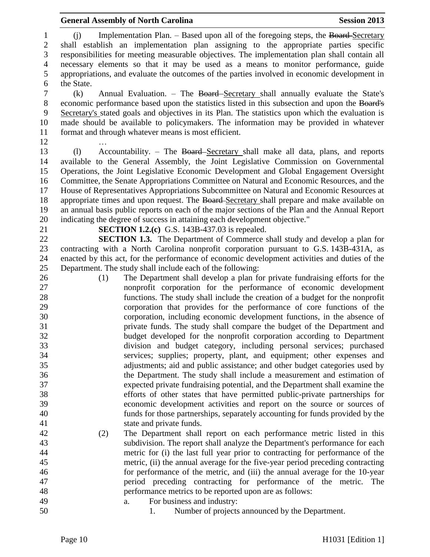## **General Assembly of North Carolina Session 2013**

1 (j) Implementation Plan. – Based upon all of the foregoing steps, the Board-Secretary shall establish an implementation plan assigning to the appropriate parties specific responsibilities for meeting measurable objectives. The implementation plan shall contain all necessary elements so that it may be used as a means to monitor performance, guide appropriations, and evaluate the outcomes of the parties involved in economic development in the State.

 (k) Annual Evaluation. – The Board Secretary shall annually evaluate the State's economic performance based upon the statistics listed in this subsection and upon the Board's Secretary's stated goals and objectives in its Plan. The statistics upon which the evaluation is made should be available to policymakers. The information may be provided in whatever format and through whatever means is most efficient.

…

 (l) Accountability. – The Board Secretary shall make all data, plans, and reports available to the General Assembly, the Joint Legislative Commission on Governmental Operations, the Joint Legislative Economic Development and Global Engagement Oversight Committee, the Senate Appropriations Committee on Natural and Economic Resources, and the House of Representatives Appropriations Subcommittee on Natural and Economic Resources at 18 appropriate times and upon request. The Board-Secretary shall prepare and make available on an annual basis public reports on each of the major sections of the Plan and the Annual Report indicating the degree of success in attaining each development objective."

**SECTION 1.2.(c)** G.S. 143B-437.03 is repealed.

 **SECTION 1.3.** The Department of Commerce shall study and develop a plan for contracting with a North Carolina nonprofit corporation pursuant to G.S. 143B-431A, as enacted by this act, for the performance of economic development activities and duties of the Department. The study shall include each of the following:

- (1) The Department shall develop a plan for private fundraising efforts for the nonprofit corporation for the performance of economic development functions. The study shall include the creation of a budget for the nonprofit corporation that provides for the performance of core functions of the corporation, including economic development functions, in the absence of private funds. The study shall compare the budget of the Department and budget developed for the nonprofit corporation according to Department division and budget category, including personal services; purchased services; supplies; property, plant, and equipment; other expenses and adjustments; aid and public assistance; and other budget categories used by the Department. The study shall include a measurement and estimation of expected private fundraising potential, and the Department shall examine the efforts of other states that have permitted public-private partnerships for economic development activities and report on the source or sources of funds for those partnerships, separately accounting for funds provided by the state and private funds.
- (2) The Department shall report on each performance metric listed in this subdivision. The report shall analyze the Department's performance for each metric for (i) the last full year prior to contracting for performance of the metric, (ii) the annual average for the five-year period preceding contracting for performance of the metric, and (iii) the annual average for the 10-year period preceding contracting for performance of the metric. The performance metrics to be reported upon are as follows:
- a. For business and industry:
	-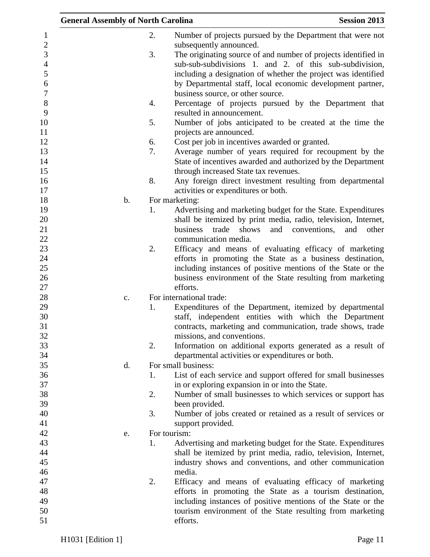|                | <b>General Assembly of North Carolina</b> | <b>Session 2013</b>                                                   |
|----------------|-------------------------------------------|-----------------------------------------------------------------------|
| $\mathbf{1}$   | 2.                                        | Number of projects pursued by the Department that were not            |
| $\sqrt{2}$     |                                           | subsequently announced.                                               |
| 3              | 3.                                        | The originating source of and number of projects identified in        |
| $\overline{4}$ |                                           | sub-sub-subdivisions 1. and 2. of this sub-subdivision,               |
| 5              |                                           | including a designation of whether the project was identified         |
| 6              |                                           | by Departmental staff, local economic development partner,            |
| $\overline{7}$ |                                           | business source, or other source.                                     |
| 8              | 4.                                        | Percentage of projects pursued by the Department that                 |
| 9              |                                           | resulted in announcement.                                             |
| 10             | 5.                                        | Number of jobs anticipated to be created at the time the              |
| 11             |                                           | projects are announced.                                               |
| 12             | 6.                                        | Cost per job in incentives awarded or granted.                        |
| 13             | 7.                                        | Average number of years required for recoupment by the                |
| 14             |                                           | State of incentives awarded and authorized by the Department          |
| 15             |                                           | through increased State tax revenues.                                 |
| 16             | 8.                                        | Any foreign direct investment resulting from departmental             |
| 17             |                                           | activities or expenditures or both.                                   |
| 18             | b.                                        | For marketing:                                                        |
| 19             | 1.                                        | Advertising and marketing budget for the State. Expenditures          |
| 20             |                                           | shall be itemized by print media, radio, television, Internet,        |
| 21             |                                           | business trade<br>shows<br>and<br>conventions,<br>and<br>other        |
| 22             |                                           | communication media.                                                  |
| 23             | 2.                                        | Efficacy and means of evaluating efficacy of marketing                |
| 24             |                                           | efforts in promoting the State as a business destination,             |
| 25             |                                           | including instances of positive mentions of the State or the          |
| 26             |                                           | business environment of the State resulting from marketing            |
| 27<br>28       |                                           | efforts.<br>For international trade:                                  |
| 29             | c.<br>1.                                  | Expenditures of the Department, itemized by departmental              |
| 30             |                                           | staff, independent entities with which the Department                 |
| 31             |                                           | contracts, marketing and communication, trade shows, trade            |
| 32             |                                           | missions, and conventions.                                            |
| 33             | 2.                                        | Information on additional exports generated as a result of            |
| 34             |                                           | departmental activities or expenditures or both.                      |
| 35             | d.                                        | For small business:                                                   |
| 36             | 1.                                        | List of each service and support offered for small businesses         |
| 37             |                                           | in or exploring expansion in or into the State.                       |
| 38             | 2.                                        | Number of small businesses to which services or support has           |
| 39             |                                           | been provided.                                                        |
| 40             | 3.                                        | Number of jobs created or retained as a result of services or         |
| 41             |                                           | support provided.                                                     |
| 42             | e.                                        | For tourism:                                                          |
| 43             | 1.                                        | Advertising and marketing budget for the State. Expenditures          |
| 44             |                                           | shall be itemized by print media, radio, television, Internet,        |
| 45             |                                           | industry shows and conventions, and other communication               |
| 46             |                                           | media.                                                                |
| 47             | 2.                                        | Efficacy and means of evaluating efficacy of marketing                |
| 48             |                                           | efforts in promoting the State as a tourism destination,              |
| 49<br>50       |                                           | including instances of positive mentions of the State or the          |
| 51             |                                           | tourism environment of the State resulting from marketing<br>efforts. |
|                |                                           |                                                                       |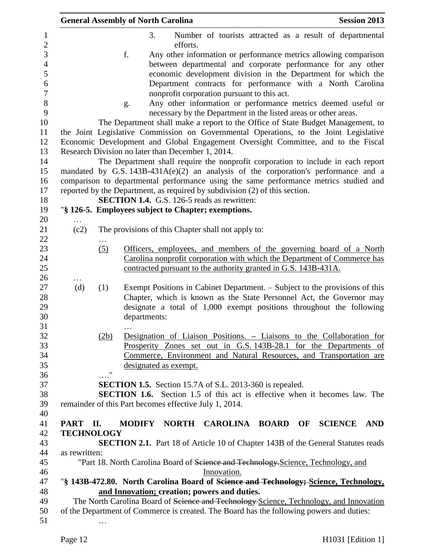|               |                    | <b>General Assembly of North Carolina</b>                                                                                                                                  | <b>Session 2013</b> |
|---------------|--------------------|----------------------------------------------------------------------------------------------------------------------------------------------------------------------------|---------------------|
|               |                    | 3.<br>Number of tourists attracted as a result of departmental                                                                                                             |                     |
|               |                    | efforts.                                                                                                                                                                   |                     |
|               |                    | f.<br>Any other information or performance metrics allowing comparison                                                                                                     |                     |
|               |                    | between departmental and corporate performance for any other                                                                                                               |                     |
|               |                    | economic development division in the Department for which the                                                                                                              |                     |
|               |                    | Department contracts for performance with a North Carolina                                                                                                                 |                     |
|               |                    | nonprofit corporation pursuant to this act.                                                                                                                                |                     |
|               |                    | Any other information or performance metrics deemed useful or<br>g.<br>necessary by the Department in the listed areas or other areas.                                     |                     |
|               |                    | The Department shall make a report to the Office of State Budget Management, to                                                                                            |                     |
|               |                    | the Joint Legislative Commission on Governmental Operations, to the Joint Legislative<br>Economic Development and Global Engagement Oversight Committee, and to the Fiscal |                     |
|               |                    | Research Division no later than December 1, 2014.                                                                                                                          |                     |
|               |                    | The Department shall require the nonprofit corporation to include in each report                                                                                           |                     |
|               |                    | mandated by G.S. $143B-431A(e)(2)$ an analysis of the corporation's performance and a                                                                                      |                     |
|               |                    | comparison to departmental performance using the same performance metrics studied and                                                                                      |                     |
|               |                    | reported by the Department, as required by subdivision (2) of this section.                                                                                                |                     |
|               |                    | <b>SECTION 1.4.</b> G.S. 126-5 reads as rewritten:                                                                                                                         |                     |
|               |                    | "§ 126-5. Employees subject to Chapter; exemptions.                                                                                                                        |                     |
|               |                    |                                                                                                                                                                            |                     |
| (c2)          |                    | The provisions of this Chapter shall not apply to:                                                                                                                         |                     |
|               |                    |                                                                                                                                                                            |                     |
|               | (5)                | Officers, employees, and members of the governing board of a North                                                                                                         |                     |
|               |                    | Carolina nonprofit corporation with which the Department of Commerce has                                                                                                   |                     |
|               |                    | contracted pursuant to the authority granted in G.S. 143B-431A.                                                                                                            |                     |
|               |                    |                                                                                                                                                                            |                     |
| (d)           | (1)                | Exempt Positions in Cabinet Department. – Subject to the provisions of this                                                                                                |                     |
|               |                    | Chapter, which is known as the State Personnel Act, the Governor may                                                                                                       |                     |
|               |                    | designate a total of 1,000 exempt positions throughout the following                                                                                                       |                     |
|               |                    | departments:                                                                                                                                                               |                     |
|               |                    |                                                                                                                                                                            |                     |
|               | (2b)               | Designation of Liaison Positions. – Liaisons to the Collaboration for                                                                                                      |                     |
|               |                    | Prosperity Zones set out in G.S. 143B-28.1 for the Departments of                                                                                                          |                     |
|               |                    | Commerce, Environment and Natural Resources, and Transportation are                                                                                                        |                     |
|               | $\pmb{\mathsf{H}}$ | designated as exempt.                                                                                                                                                      |                     |
|               |                    |                                                                                                                                                                            |                     |
|               |                    | SECTION 1.5. Section 15.7A of S.L. 2013-360 is repealed.                                                                                                                   |                     |
|               |                    | <b>SECTION 1.6.</b> Section 1.5 of this act is effective when it becomes law. The                                                                                          |                     |
|               |                    | remainder of this Part becomes effective July 1, 2014.                                                                                                                     |                     |
|               |                    |                                                                                                                                                                            |                     |
| PART II.      |                    | <b>MODIFY</b><br>NORTH CAROLINA BOARD OF SCIENCE                                                                                                                           | <b>AND</b>          |
|               | <b>TECHNOLOGY</b>  |                                                                                                                                                                            |                     |
|               |                    | <b>SECTION 2.1.</b> Part 18 of Article 10 of Chapter 143B of the General Statutes reads                                                                                    |                     |
| as rewritten: |                    |                                                                                                                                                                            |                     |
|               |                    | "Part 18. North Carolina Board of Science and Technology-Science, Technology, and                                                                                          |                     |
|               |                    | Innovation.                                                                                                                                                                |                     |
|               |                    | "§ 143B-472.80. North Carolina Board of Science and Technology; Science, Technology,                                                                                       |                     |
|               |                    | and Innovation; creation; powers and duties.                                                                                                                               |                     |
|               |                    | The North Carolina Board of Science and Technology Science, Technology, and Innovation                                                                                     |                     |
|               |                    | of the Department of Commerce is created. The Board has the following powers and duties:                                                                                   |                     |
|               |                    |                                                                                                                                                                            |                     |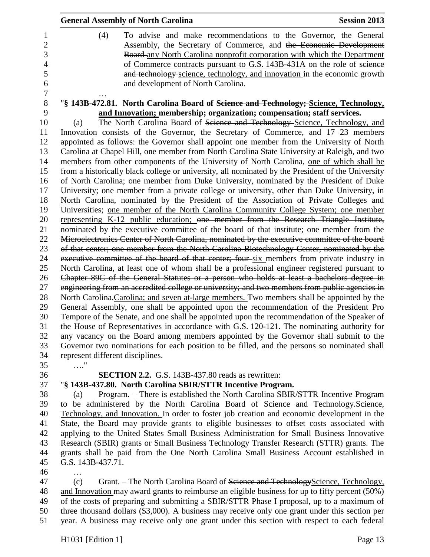| <b>General Assembly of North Carolina</b>                                                         | <b>Session 2013</b> |
|---------------------------------------------------------------------------------------------------|---------------------|
| (4)<br>To advise and make recommendations to the Governor, the General                            |                     |
| Assembly, the Secretary of Commerce, and the Economic Development                                 |                     |
| Board-any North Carolina nonprofit corporation with which the Department                          |                     |
| of Commerce contracts pursuant to G.S. 143B-431A on the role of science                           |                     |
| and technology science, technology, and innovation in the economic growth                         |                     |
| and development of North Carolina.                                                                |                     |
| "§ 143B-472.81. North Carolina Board of Science and Technology; Science, Technology,              |                     |
| and Innovation; membership; organization; compensation; staff services.                           |                     |
| The North Carolina Board of Science and Technology Science, Technology, and<br>(a)                |                     |
| Innovation consists of the Governor, the Secretary of Commerce, and $17-23$ members               |                     |
| appointed as follows: the Governor shall appoint one member from the University of North          |                     |
| Carolina at Chapel Hill, one member from North Carolina State University at Raleigh, and two      |                     |
| members from other components of the University of North Carolina, one of which shall be          |                     |
| from a historically black college or university, all nominated by the President of the University |                     |
| of North Carolina; one member from Duke University, nominated by the President of Duke            |                     |
| University; one member from a private college or university, other than Duke University, in       |                     |
| North Carolina, nominated by the President of the Association of Private Colleges and             |                     |
| Universities; one member of the North Carolina Community College System; one member               |                     |
| representing K-12 public education; one member from the Research Triangle Institute,              |                     |
| nominated by the executive committee of the board of that institute; one member from the          |                     |
| Microelectronics Center of North Carolina, nominated by the executive committee of the board      |                     |
| of that center; one member from the North Carolina Biotechnology Center, nominated by the         |                     |
| executive committee of the board of that center; four six members from private industry in        |                     |
| North Carolina, at least one of whom shall be a professional engineer registered pursuant to      |                     |
| Chapter 89C of the General Statutes or a person who holds at least a bachelors degree in          |                     |
| engineering from an accredited college or university; and two members from public agencies in     |                     |
| North Carolina. Carolina; and seven at-large members. Two members shall be appointed by the       |                     |
| General Assembly, one shall be appointed upon the recommendation of the President Pro             |                     |
| Tempore of the Senate, and one shall be appointed upon the recommendation of the Speaker of       |                     |
| the House of Representatives in accordance with G.S. 120-121. The nominating authority for        |                     |
| any vacancy on the Board among members appointed by the Governor shall submit to the              |                     |
| Governor two nominations for each position to be filled, and the persons so nominated shall       |                     |
| represent different disciplines.                                                                  |                     |
| . <sup>.</sup>                                                                                    |                     |
| <b>SECTION 2.2.</b> G.S. 143B-437.80 reads as rewritten:                                          |                     |
| "§ 143B-437.80. North Carolina SBIR/STTR Incentive Program.                                       |                     |

 (a) Program. – There is established the North Carolina SBIR/STTR Incentive Program to be administered by the North Carolina Board of Science and Technology.Science, Technology, and Innovation. In order to foster job creation and economic development in the State, the Board may provide grants to eligible businesses to offset costs associated with applying to the United States Small Business Administration for Small Business Innovative Research (SBIR) grants or Small Business Technology Transfer Research (STTR) grants. The grants shall be paid from the One North Carolina Small Business Account established in G.S. 143B-437.71.

…

47 (c) Grant. – The North Carolina Board of Science and Technology Science, Technology, and Innovation may award grants to reimburse an eligible business for up to fifty percent (50%) of the costs of preparing and submitting a SBIR/STTR Phase I proposal, up to a maximum of three thousand dollars (\$3,000). A business may receive only one grant under this section per year. A business may receive only one grant under this section with respect to each federal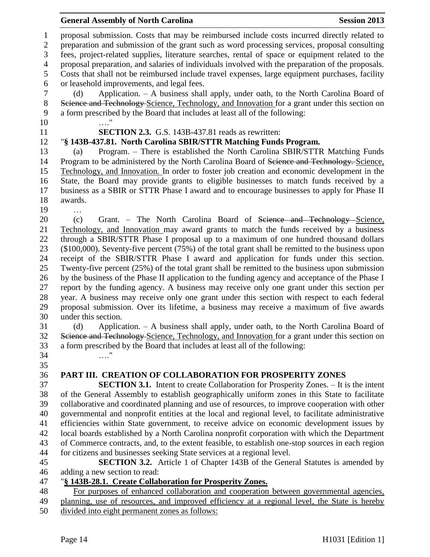| proposal submission. Costs that may be reimbursed include costs incurred directly related to<br>$\mathbf{1}$<br>$\overline{2}$<br>preparation and submission of the grant such as word processing services, proposal consulting<br>fees, project-related supplies, literature searches, rental of space or equipment related to the<br>3<br>proposal preparation, and salaries of individuals involved with the preparation of the proposals.<br>$\overline{4}$<br>5<br>Costs that shall not be reimbursed include travel expenses, large equipment purchases, facility<br>or leasehold improvements, and legal fees.<br>6<br>$\tau$<br>Application. - A business shall apply, under oath, to the North Carolina Board of<br>(d)<br>Science and Technology Science, Technology, and Innovation for a grant under this section on<br>$8\,$<br>a form prescribed by the Board that includes at least all of the following:<br>9<br>10<br><b>SECTION 2.3.</b> G.S. 143B-437.81 reads as rewritten:<br>11<br>"§ 143B-437.81. North Carolina SBIR/STTR Matching Funds Program.<br>12<br>Program. - There is established the North Carolina SBIR/STTR Matching Funds<br>13<br>(a)<br>14<br>Program to be administered by the North Carolina Board of Science and Technology. Science, |  |
|---------------------------------------------------------------------------------------------------------------------------------------------------------------------------------------------------------------------------------------------------------------------------------------------------------------------------------------------------------------------------------------------------------------------------------------------------------------------------------------------------------------------------------------------------------------------------------------------------------------------------------------------------------------------------------------------------------------------------------------------------------------------------------------------------------------------------------------------------------------------------------------------------------------------------------------------------------------------------------------------------------------------------------------------------------------------------------------------------------------------------------------------------------------------------------------------------------------------------------------------------------------------------------|--|
|                                                                                                                                                                                                                                                                                                                                                                                                                                                                                                                                                                                                                                                                                                                                                                                                                                                                                                                                                                                                                                                                                                                                                                                                                                                                                 |  |
|                                                                                                                                                                                                                                                                                                                                                                                                                                                                                                                                                                                                                                                                                                                                                                                                                                                                                                                                                                                                                                                                                                                                                                                                                                                                                 |  |
|                                                                                                                                                                                                                                                                                                                                                                                                                                                                                                                                                                                                                                                                                                                                                                                                                                                                                                                                                                                                                                                                                                                                                                                                                                                                                 |  |
|                                                                                                                                                                                                                                                                                                                                                                                                                                                                                                                                                                                                                                                                                                                                                                                                                                                                                                                                                                                                                                                                                                                                                                                                                                                                                 |  |
|                                                                                                                                                                                                                                                                                                                                                                                                                                                                                                                                                                                                                                                                                                                                                                                                                                                                                                                                                                                                                                                                                                                                                                                                                                                                                 |  |
|                                                                                                                                                                                                                                                                                                                                                                                                                                                                                                                                                                                                                                                                                                                                                                                                                                                                                                                                                                                                                                                                                                                                                                                                                                                                                 |  |
|                                                                                                                                                                                                                                                                                                                                                                                                                                                                                                                                                                                                                                                                                                                                                                                                                                                                                                                                                                                                                                                                                                                                                                                                                                                                                 |  |
| 15<br>Technology, and Innovation. In order to foster job creation and economic development in the                                                                                                                                                                                                                                                                                                                                                                                                                                                                                                                                                                                                                                                                                                                                                                                                                                                                                                                                                                                                                                                                                                                                                                               |  |
| State, the Board may provide grants to eligible businesses to match funds received by a<br>16                                                                                                                                                                                                                                                                                                                                                                                                                                                                                                                                                                                                                                                                                                                                                                                                                                                                                                                                                                                                                                                                                                                                                                                   |  |
| business as a SBIR or STTR Phase I award and to encourage businesses to apply for Phase II<br>17                                                                                                                                                                                                                                                                                                                                                                                                                                                                                                                                                                                                                                                                                                                                                                                                                                                                                                                                                                                                                                                                                                                                                                                |  |
| 18<br>awards.                                                                                                                                                                                                                                                                                                                                                                                                                                                                                                                                                                                                                                                                                                                                                                                                                                                                                                                                                                                                                                                                                                                                                                                                                                                                   |  |
| 19                                                                                                                                                                                                                                                                                                                                                                                                                                                                                                                                                                                                                                                                                                                                                                                                                                                                                                                                                                                                                                                                                                                                                                                                                                                                              |  |
| 20<br>Grant. - The North Carolina Board of Science and Technology Science,<br>(c)                                                                                                                                                                                                                                                                                                                                                                                                                                                                                                                                                                                                                                                                                                                                                                                                                                                                                                                                                                                                                                                                                                                                                                                               |  |
| Technology, and Innovation may award grants to match the funds received by a business<br>21<br>through a SBIR/STTR Phase I proposal up to a maximum of one hundred thousand dollars                                                                                                                                                                                                                                                                                                                                                                                                                                                                                                                                                                                                                                                                                                                                                                                                                                                                                                                                                                                                                                                                                             |  |
| 22<br>23<br>(\$100,000). Seventy-five percent (75%) of the total grant shall be remitted to the business upon                                                                                                                                                                                                                                                                                                                                                                                                                                                                                                                                                                                                                                                                                                                                                                                                                                                                                                                                                                                                                                                                                                                                                                   |  |
| receipt of the SBIR/STTR Phase I award and application for funds under this section.<br>24                                                                                                                                                                                                                                                                                                                                                                                                                                                                                                                                                                                                                                                                                                                                                                                                                                                                                                                                                                                                                                                                                                                                                                                      |  |
| 25<br>Twenty-five percent (25%) of the total grant shall be remitted to the business upon submission                                                                                                                                                                                                                                                                                                                                                                                                                                                                                                                                                                                                                                                                                                                                                                                                                                                                                                                                                                                                                                                                                                                                                                            |  |
| 26<br>by the business of the Phase II application to the funding agency and acceptance of the Phase I                                                                                                                                                                                                                                                                                                                                                                                                                                                                                                                                                                                                                                                                                                                                                                                                                                                                                                                                                                                                                                                                                                                                                                           |  |
| report by the funding agency. A business may receive only one grant under this section per<br>27                                                                                                                                                                                                                                                                                                                                                                                                                                                                                                                                                                                                                                                                                                                                                                                                                                                                                                                                                                                                                                                                                                                                                                                |  |
| year. A business may receive only one grant under this section with respect to each federal<br>28                                                                                                                                                                                                                                                                                                                                                                                                                                                                                                                                                                                                                                                                                                                                                                                                                                                                                                                                                                                                                                                                                                                                                                               |  |
| 29<br>proposal submission. Over its lifetime, a business may receive a maximum of five awards                                                                                                                                                                                                                                                                                                                                                                                                                                                                                                                                                                                                                                                                                                                                                                                                                                                                                                                                                                                                                                                                                                                                                                                   |  |
| 30<br>under this section.                                                                                                                                                                                                                                                                                                                                                                                                                                                                                                                                                                                                                                                                                                                                                                                                                                                                                                                                                                                                                                                                                                                                                                                                                                                       |  |
| Application. - A business shall apply, under oath, to the North Carolina Board of<br>31<br>(d)                                                                                                                                                                                                                                                                                                                                                                                                                                                                                                                                                                                                                                                                                                                                                                                                                                                                                                                                                                                                                                                                                                                                                                                  |  |
| 32<br>Science and Technology-Science, Technology, and Innovation for a grant under this section on<br>33<br>a form prescribed by the Board that includes at least all of the following:                                                                                                                                                                                                                                                                                                                                                                                                                                                                                                                                                                                                                                                                                                                                                                                                                                                                                                                                                                                                                                                                                         |  |
| 34<br>. 1                                                                                                                                                                                                                                                                                                                                                                                                                                                                                                                                                                                                                                                                                                                                                                                                                                                                                                                                                                                                                                                                                                                                                                                                                                                                       |  |
| 35                                                                                                                                                                                                                                                                                                                                                                                                                                                                                                                                                                                                                                                                                                                                                                                                                                                                                                                                                                                                                                                                                                                                                                                                                                                                              |  |
| 36<br>PART III. CREATION OF COLLABORATION FOR PROSPERITY ZONES                                                                                                                                                                                                                                                                                                                                                                                                                                                                                                                                                                                                                                                                                                                                                                                                                                                                                                                                                                                                                                                                                                                                                                                                                  |  |
| 37<br><b>SECTION 3.1.</b> Intent to create Collaboration for Prosperity Zones. - It is the intent                                                                                                                                                                                                                                                                                                                                                                                                                                                                                                                                                                                                                                                                                                                                                                                                                                                                                                                                                                                                                                                                                                                                                                               |  |
| of the General Assembly to establish geographically uniform zones in this State to facilitate<br>38<br>39                                                                                                                                                                                                                                                                                                                                                                                                                                                                                                                                                                                                                                                                                                                                                                                                                                                                                                                                                                                                                                                                                                                                                                       |  |
| collaborative and coordinated planning and use of resources, to improve cooperation with other<br>40<br>governmental and nonprofit entities at the local and regional level, to facilitate administrative                                                                                                                                                                                                                                                                                                                                                                                                                                                                                                                                                                                                                                                                                                                                                                                                                                                                                                                                                                                                                                                                       |  |
| efficiencies within State government, to receive advice on economic development issues by<br>41                                                                                                                                                                                                                                                                                                                                                                                                                                                                                                                                                                                                                                                                                                                                                                                                                                                                                                                                                                                                                                                                                                                                                                                 |  |
| local boards established by a North Carolina nonprofit corporation with which the Department<br>42                                                                                                                                                                                                                                                                                                                                                                                                                                                                                                                                                                                                                                                                                                                                                                                                                                                                                                                                                                                                                                                                                                                                                                              |  |
| 43<br>of Commerce contracts, and, to the extent feasible, to establish one-stop sources in each region                                                                                                                                                                                                                                                                                                                                                                                                                                                                                                                                                                                                                                                                                                                                                                                                                                                                                                                                                                                                                                                                                                                                                                          |  |
| for citizens and businesses seeking State services at a regional level.<br>44                                                                                                                                                                                                                                                                                                                                                                                                                                                                                                                                                                                                                                                                                                                                                                                                                                                                                                                                                                                                                                                                                                                                                                                                   |  |
| <b>SECTION 3.2.</b> Article 1 of Chapter 143B of the General Statutes is amended by<br>45                                                                                                                                                                                                                                                                                                                                                                                                                                                                                                                                                                                                                                                                                                                                                                                                                                                                                                                                                                                                                                                                                                                                                                                       |  |
| 46<br>adding a new section to read:                                                                                                                                                                                                                                                                                                                                                                                                                                                                                                                                                                                                                                                                                                                                                                                                                                                                                                                                                                                                                                                                                                                                                                                                                                             |  |
| "§ 143B-28.1. Create Collaboration for Prosperity Zones.<br>47                                                                                                                                                                                                                                                                                                                                                                                                                                                                                                                                                                                                                                                                                                                                                                                                                                                                                                                                                                                                                                                                                                                                                                                                                  |  |
| For purposes of enhanced collaboration and cooperation between governmental agencies,<br>48                                                                                                                                                                                                                                                                                                                                                                                                                                                                                                                                                                                                                                                                                                                                                                                                                                                                                                                                                                                                                                                                                                                                                                                     |  |
| planning, use of resources, and improved efficiency at a regional level, the State is hereby<br>49<br>divided into eight permanent zones as follows:<br>50                                                                                                                                                                                                                                                                                                                                                                                                                                                                                                                                                                                                                                                                                                                                                                                                                                                                                                                                                                                                                                                                                                                      |  |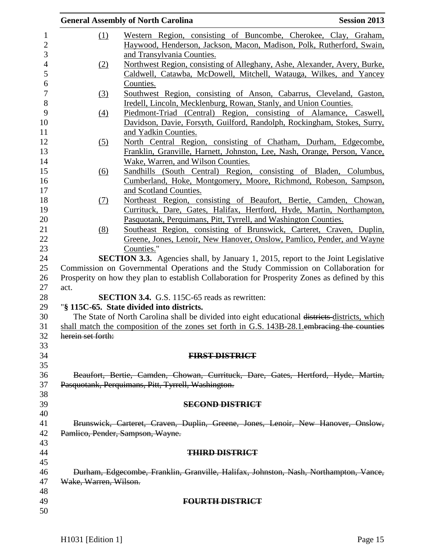|                                                                                                | <b>General Assembly of North Carolina</b><br><b>Session 2013</b>                               |  |  |  |  |
|------------------------------------------------------------------------------------------------|------------------------------------------------------------------------------------------------|--|--|--|--|
| (1)                                                                                            | Western Region, consisting of Buncombe, Cherokee, Clay, Graham,                                |  |  |  |  |
|                                                                                                | Haywood, Henderson, Jackson, Macon, Madison, Polk, Rutherford, Swain,                          |  |  |  |  |
|                                                                                                | and Transylvania Counties.                                                                     |  |  |  |  |
| (2)                                                                                            | Northwest Region, consisting of Alleghany, Ashe, Alexander, Avery, Burke,                      |  |  |  |  |
|                                                                                                | Caldwell, Catawba, McDowell, Mitchell, Watauga, Wilkes, and Yancey                             |  |  |  |  |
|                                                                                                | Counties.                                                                                      |  |  |  |  |
| $\left(3\right)$                                                                               | Southwest Region, consisting of Anson, Cabarrus, Cleveland, Gaston,                            |  |  |  |  |
|                                                                                                | Iredell, Lincoln, Mecklenburg, Rowan, Stanly, and Union Counties.                              |  |  |  |  |
| (4)                                                                                            | Piedmont-Triad (Central) Region, consisting of Alamance, Caswell,                              |  |  |  |  |
|                                                                                                | Davidson, Davie, Forsyth, Guilford, Randolph, Rockingham, Stokes, Surry,                       |  |  |  |  |
|                                                                                                | and Yadkin Counties.                                                                           |  |  |  |  |
| (5)                                                                                            | North Central Region, consisting of Chatham, Durham, Edgecombe,                                |  |  |  |  |
|                                                                                                | Franklin, Granville, Harnett, Johnston, Lee, Nash, Orange, Person, Vance,                      |  |  |  |  |
|                                                                                                | Wake, Warren, and Wilson Counties.                                                             |  |  |  |  |
| (6)                                                                                            | Sandhills (South Central) Region, consisting of Bladen, Columbus,                              |  |  |  |  |
|                                                                                                | Cumberland, Hoke, Montgomery, Moore, Richmond, Robeson, Sampson,                               |  |  |  |  |
|                                                                                                | and Scotland Counties.                                                                         |  |  |  |  |
| (7)                                                                                            | Northeast Region, consisting of Beaufort, Bertie, Camden, Chowan,                              |  |  |  |  |
|                                                                                                | Currituck, Dare, Gates, Halifax, Hertford, Hyde, Martin, Northampton,                          |  |  |  |  |
|                                                                                                | Pasquotank, Perquimans, Pitt, Tyrrell, and Washington Counties.                                |  |  |  |  |
| (8)                                                                                            | Southeast Region, consisting of Brunswick, Carteret, Craven, Duplin,                           |  |  |  |  |
|                                                                                                | Greene, Jones, Lenoir, New Hanover, Onslow, Pamlico, Pender, and Wayne                         |  |  |  |  |
|                                                                                                | Counties."                                                                                     |  |  |  |  |
|                                                                                                | <b>SECTION 3.3.</b> Agencies shall, by January 1, 2015, report to the Joint Legislative        |  |  |  |  |
|                                                                                                | Commission on Governmental Operations and the Study Commission on Collaboration for            |  |  |  |  |
|                                                                                                | Prosperity on how they plan to establish Collaboration for Prosperity Zones as defined by this |  |  |  |  |
| act.                                                                                           |                                                                                                |  |  |  |  |
|                                                                                                | <b>SECTION 3.4.</b> G.S. 115C-65 reads as rewritten:                                           |  |  |  |  |
| "§ 115C-65. State divided into districts.                                                      |                                                                                                |  |  |  |  |
| The State of North Carolina shall be divided into eight educational districts districts, which |                                                                                                |  |  |  |  |
| shall match the composition of the zones set forth in G.S. 143B-28.1 embracing the counties    |                                                                                                |  |  |  |  |
| herein set forth:                                                                              |                                                                                                |  |  |  |  |
|                                                                                                |                                                                                                |  |  |  |  |
|                                                                                                | <b>FIRST DISTRICT</b>                                                                          |  |  |  |  |
|                                                                                                |                                                                                                |  |  |  |  |
|                                                                                                | Beaufort, Bertie, Camden, Chowan, Currituck, Dare, Gates, Hertford, Hyde, Martin,              |  |  |  |  |
|                                                                                                | Pasquotank, Perquimans, Pitt, Tyrrell, Washington.                                             |  |  |  |  |
|                                                                                                |                                                                                                |  |  |  |  |
|                                                                                                | <b>SECOND DISTRICT</b>                                                                         |  |  |  |  |
|                                                                                                |                                                                                                |  |  |  |  |
|                                                                                                | Brunswick, Carteret, Craven, Duplin, Greene, Jones, Lenoir, New Hanover, Onslow,               |  |  |  |  |
|                                                                                                | Pamlico, Pender, Sampson, Wayne.                                                               |  |  |  |  |
|                                                                                                |                                                                                                |  |  |  |  |
|                                                                                                | <b>THIRD DISTRICT</b>                                                                          |  |  |  |  |
|                                                                                                |                                                                                                |  |  |  |  |
| Durham, Edgecombe, Franklin, Granville, Halifax, Johnston, Nash, Northampton, Vance,           |                                                                                                |  |  |  |  |
| Wake, Warren, Wilson.                                                                          |                                                                                                |  |  |  |  |
|                                                                                                |                                                                                                |  |  |  |  |
|                                                                                                | <b>FOURTH DISTRICT</b>                                                                         |  |  |  |  |
|                                                                                                |                                                                                                |  |  |  |  |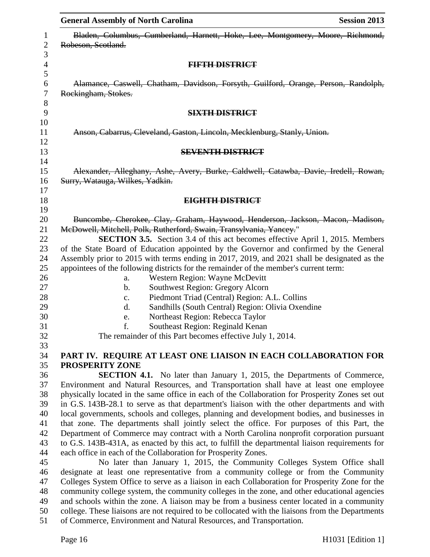| <b>General Assembly of North Carolina</b>                                                                                                                                                       | <b>Session 2013</b>                                                                  |  |  |  |  |
|-------------------------------------------------------------------------------------------------------------------------------------------------------------------------------------------------|--------------------------------------------------------------------------------------|--|--|--|--|
| Bladen, Columbus, Cumberland, Harnett, Hoke, Lee, Montgomery, Moore, Richmond,<br>Robeson, Scotland.                                                                                            |                                                                                      |  |  |  |  |
| <b>FIFTH DISTRICT</b>                                                                                                                                                                           |                                                                                      |  |  |  |  |
| Alamance, Caswell, Chatham, Davidson, Forsyth, Guilford, Orange, Person, Randolph,                                                                                                              |                                                                                      |  |  |  |  |
| Rockingham, Stokes.                                                                                                                                                                             |                                                                                      |  |  |  |  |
| <b>SIXTH DISTRICT</b>                                                                                                                                                                           |                                                                                      |  |  |  |  |
| Anson, Cabarrus, Cleveland, Gaston, Lincoln, Mecklenburg, Stanly, Union.                                                                                                                        |                                                                                      |  |  |  |  |
| <b>SEVENTH DISTRICT</b>                                                                                                                                                                         |                                                                                      |  |  |  |  |
| Alexander, Alleghany, Ashe, Avery, Burke, Caldwell, Catawba, Davie, Iredell, Rowan,<br>Surry, Watauga, Wilkes, Yadkin.                                                                          |                                                                                      |  |  |  |  |
| EIGHTH DISTRICT                                                                                                                                                                                 |                                                                                      |  |  |  |  |
|                                                                                                                                                                                                 |                                                                                      |  |  |  |  |
| Buncombe, Cherokee, Clay, Graham, Haywood, Henderson, Jackson, Macon, Madison,                                                                                                                  |                                                                                      |  |  |  |  |
| McDowell, Mitchell, Polk, Rutherford, Swain, Transylvania, Yancey."                                                                                                                             |                                                                                      |  |  |  |  |
|                                                                                                                                                                                                 | <b>SECTION 3.5.</b> Section 3.4 of this act becomes effective April 1, 2015. Members |  |  |  |  |
| of the State Board of Education appointed by the Governor and confirmed by the General<br>Assembly prior to 2015 with terms ending in 2017, 2019, and 2021 shall be designated as the           |                                                                                      |  |  |  |  |
| appointees of the following districts for the remainder of the member's current term:                                                                                                           |                                                                                      |  |  |  |  |
| Western Region: Wayne McDevitt<br>a.                                                                                                                                                            |                                                                                      |  |  |  |  |
| Southwest Region: Gregory Alcorn<br>$\mathbf b$ .                                                                                                                                               |                                                                                      |  |  |  |  |
| Piedmont Triad (Central) Region: A.L. Collins<br>c.                                                                                                                                             |                                                                                      |  |  |  |  |
| Sandhills (South Central) Region: Olivia Oxendine<br>d.                                                                                                                                         |                                                                                      |  |  |  |  |
| Northeast Region: Rebecca Taylor<br>e.                                                                                                                                                          |                                                                                      |  |  |  |  |
| f.<br>Southeast Region: Reginald Kenan                                                                                                                                                          |                                                                                      |  |  |  |  |
| The remainder of this Part becomes effective July 1, 2014.                                                                                                                                      |                                                                                      |  |  |  |  |
|                                                                                                                                                                                                 |                                                                                      |  |  |  |  |
| PART IV. REQUIRE AT LEAST ONE LIAISON IN EACH COLLABORATION FOR                                                                                                                                 |                                                                                      |  |  |  |  |
| PROSPERITY ZONE                                                                                                                                                                                 |                                                                                      |  |  |  |  |
|                                                                                                                                                                                                 | <b>SECTION 4.1.</b> No later than January 1, 2015, the Departments of Commerce,      |  |  |  |  |
| Environment and Natural Resources, and Transportation shall have at least one employee                                                                                                          |                                                                                      |  |  |  |  |
| physically located in the same office in each of the Collaboration for Prosperity Zones set out                                                                                                 |                                                                                      |  |  |  |  |
| in G.S. 143B-28.1 to serve as that department's liaison with the other departments and with                                                                                                     |                                                                                      |  |  |  |  |
| local governments, schools and colleges, planning and development bodies, and businesses in                                                                                                     |                                                                                      |  |  |  |  |
| that zone. The departments shall jointly select the office. For purposes of this Part, the                                                                                                      |                                                                                      |  |  |  |  |
| Department of Commerce may contract with a North Carolina nonprofit corporation pursuant                                                                                                        |                                                                                      |  |  |  |  |
| to G.S. 143B-431A, as enacted by this act, to fulfill the departmental liaison requirements for                                                                                                 |                                                                                      |  |  |  |  |
| each office in each of the Collaboration for Prosperity Zones.                                                                                                                                  |                                                                                      |  |  |  |  |
|                                                                                                                                                                                                 | No later than January 1, 2015, the Community Colleges System Office shall            |  |  |  |  |
| designate at least one representative from a community college or from the Community                                                                                                            |                                                                                      |  |  |  |  |
| Colleges System Office to serve as a liaison in each Collaboration for Prosperity Zone for the                                                                                                  |                                                                                      |  |  |  |  |
| community college system, the community colleges in the zone, and other educational agencies                                                                                                    |                                                                                      |  |  |  |  |
| and schools within the zone. A liaison may be from a business center located in a community<br>college. These liaisons are not required to be collocated with the liaisons from the Departments |                                                                                      |  |  |  |  |
| of Commerce, Environment and Natural Resources, and Transportation.                                                                                                                             |                                                                                      |  |  |  |  |
|                                                                                                                                                                                                 |                                                                                      |  |  |  |  |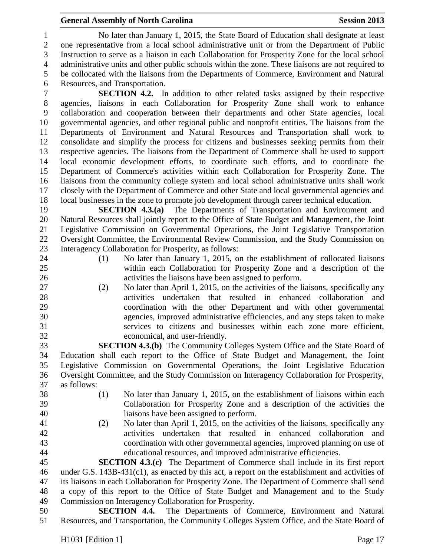#### **General Assembly of North Carolina Session 2013**

 No later than January 1, 2015, the State Board of Education shall designate at least one representative from a local school administrative unit or from the Department of Public Instruction to serve as a liaison in each Collaboration for Prosperity Zone for the local school administrative units and other public schools within the zone. These liaisons are not required to be collocated with the liaisons from the Departments of Commerce, Environment and Natural Resources, and Transportation.

 **SECTION 4.2.** In addition to other related tasks assigned by their respective agencies, liaisons in each Collaboration for Prosperity Zone shall work to enhance collaboration and cooperation between their departments and other State agencies, local governmental agencies, and other regional public and nonprofit entities. The liaisons from the Departments of Environment and Natural Resources and Transportation shall work to consolidate and simplify the process for citizens and businesses seeking permits from their respective agencies. The liaisons from the Department of Commerce shall be used to support local economic development efforts, to coordinate such efforts, and to coordinate the Department of Commerce's activities within each Collaboration for Prosperity Zone. The liaisons from the community college system and local school administrative units shall work closely with the Department of Commerce and other State and local governmental agencies and local businesses in the zone to promote job development through career technical education.

 **SECTION 4.3.(a)** The Departments of Transportation and Environment and Natural Resources shall jointly report to the Office of State Budget and Management, the Joint Legislative Commission on Governmental Operations, the Joint Legislative Transportation Oversight Committee, the Environmental Review Commission, and the Study Commission on Interagency Collaboration for Prosperity, as follows:

- 
- 
- (1) No later than January 1, 2015, on the establishment of collocated liaisons within each Collaboration for Prosperity Zone and a description of the activities the liaisons have been assigned to perform.
- (2) No later than April 1, 2015, on the activities of the liaisons, specifically any activities undertaken that resulted in enhanced collaboration and coordination with the other Department and with other governmental agencies, improved administrative efficiencies, and any steps taken to make services to citizens and businesses within each zone more efficient, economical, and user-friendly.

 **SECTION 4.3.(b)** The Community Colleges System Office and the State Board of Education shall each report to the Office of State Budget and Management, the Joint Legislative Commission on Governmental Operations, the Joint Legislative Education Oversight Committee, and the Study Commission on Interagency Collaboration for Prosperity, as follows:

- 
- (1) No later than January 1, 2015, on the establishment of liaisons within each Collaboration for Prosperity Zone and a description of the activities the liaisons have been assigned to perform.
- 
- (2) No later than April 1, 2015, on the activities of the liaisons, specifically any activities undertaken that resulted in enhanced collaboration and coordination with other governmental agencies, improved planning on use of educational resources, and improved administrative efficiencies.

 **SECTION 4.3.(c)** The Department of Commerce shall include in its first report under G.S. 143B-431(c1), as enacted by this act, a report on the establishment and activities of its liaisons in each Collaboration for Prosperity Zone. The Department of Commerce shall send a copy of this report to the Office of State Budget and Management and to the Study Commission on Interagency Collaboration for Prosperity.

 **SECTION 4.4.** The Departments of Commerce, Environment and Natural Resources, and Transportation, the Community Colleges System Office, and the State Board of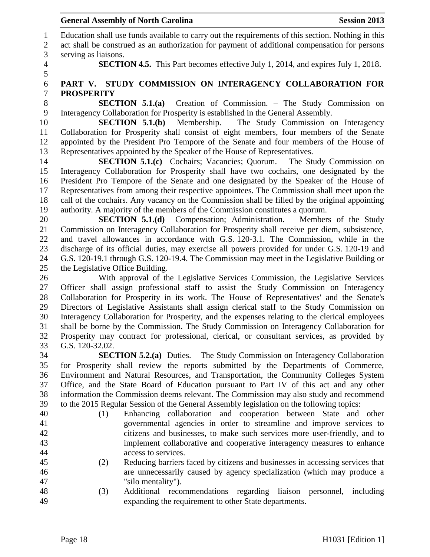Education shall use funds available to carry out the requirements of this section. Nothing in this act shall be construed as an authorization for payment of additional compensation for persons serving as liaisons.

**SECTION 4.5.** This Part becomes effective July 1, 2014, and expires July 1, 2018.

### **PART V. STUDY COMMISSION ON INTERAGENCY COLLABORATION FOR PROSPERITY**

 **SECTION 5.1.(a)** Creation of Commission. – The Study Commission on Interagency Collaboration for Prosperity is established in the General Assembly.

 **SECTION 5.1.(b)** Membership. – The Study Commission on Interagency Collaboration for Prosperity shall consist of eight members, four members of the Senate appointed by the President Pro Tempore of the Senate and four members of the House of Representatives appointed by the Speaker of the House of Representatives.

**SECTION 5.1.(c)** Cochairs; Vacancies; Quorum. – The Study Commission on Interagency Collaboration for Prosperity shall have two cochairs, one designated by the President Pro Tempore of the Senate and one designated by the Speaker of the House of Representatives from among their respective appointees. The Commission shall meet upon the call of the cochairs. Any vacancy on the Commission shall be filled by the original appointing authority. A majority of the members of the Commission constitutes a quorum.

 **SECTION 5.1.(d)** Compensation; Administration. – Members of the Study Commission on Interagency Collaboration for Prosperity shall receive per diem, subsistence, and travel allowances in accordance with G.S. 120-3.1. The Commission, while in the discharge of its official duties, may exercise all powers provided for under G.S. 120-19 and G.S. 120-19.1 through G.S. 120-19.4. The Commission may meet in the Legislative Building or the Legislative Office Building.

 With approval of the Legislative Services Commission, the Legislative Services Officer shall assign professional staff to assist the Study Commission on Interagency Collaboration for Prosperity in its work. The House of Representatives' and the Senate's Directors of Legislative Assistants shall assign clerical staff to the Study Commission on Interagency Collaboration for Prosperity, and the expenses relating to the clerical employees shall be borne by the Commission. The Study Commission on Interagency Collaboration for Prosperity may contract for professional, clerical, or consultant services, as provided by G.S. 120-32.02.

 **SECTION 5.2.(a)** Duties. – The Study Commission on Interagency Collaboration for Prosperity shall review the reports submitted by the Departments of Commerce, Environment and Natural Resources, and Transportation, the Community Colleges System Office, and the State Board of Education pursuant to Part IV of this act and any other information the Commission deems relevant. The Commission may also study and recommend to the 2015 Regular Session of the General Assembly legislation on the following topics:

- 
- 
- (1) Enhancing collaboration and cooperation between State and other governmental agencies in order to streamline and improve services to citizens and businesses, to make such services more user-friendly, and to implement collaborative and cooperative interagency measures to enhance access to services.
- (2) Reducing barriers faced by citizens and businesses in accessing services that are unnecessarily caused by agency specialization (which may produce a "silo mentality").
- (3) Additional recommendations regarding liaison personnel, including expanding the requirement to other State departments.